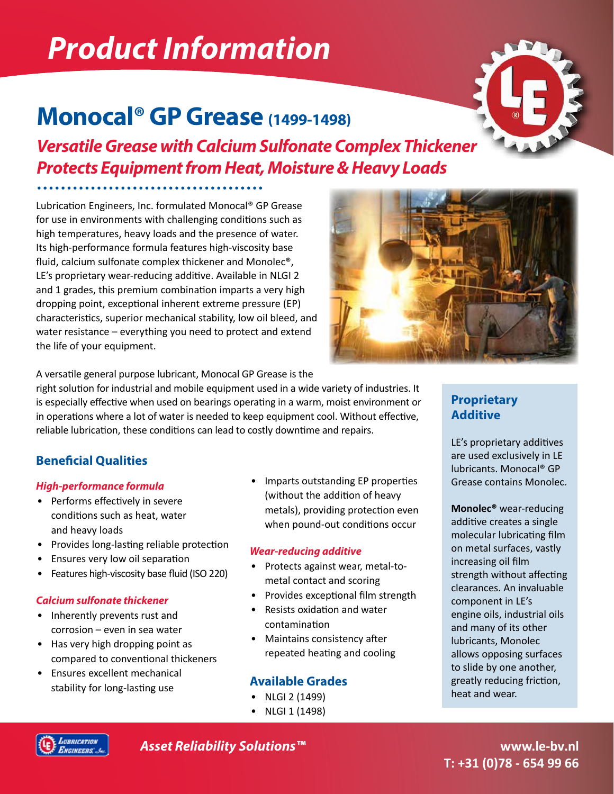# *Product Information*

# **Monocal® GP Grease (1499-1498)**

*Versatile Grease with Calcium Sulfonate Complex Thickener Protects Equipment from Heat, Moisture & Heavy Loads*

Lubrication Engineers, Inc. formulated Monocal® GP Grease for use in environments with challenging conditions such as high temperatures, heavy loads and the presence of water. Its high-performance formula features high-viscosity base fluid, calcium sulfonate complex thickener and Monolec®, LE's proprietary wear-reducing additive. Available in NLGI 2 and 1 grades, this premium combination imparts a very high dropping point, exceptional inherent extreme pressure (EP) characteristics, superior mechanical stability, low oil bleed, and water resistance – everything you need to protect and extend the life of your equipment.



A versatile general purpose lubricant, Monocal GP Grease is the

right solution for industrial and mobile equipment used in a wide variety of industries. It is especially effective when used on bearings operating in a warm, moist environment or in operations where a lot of water is needed to keep equipment cool. Without effective, reliable lubrication, these conditions can lead to costly downtime and repairs.

# **Beneficial Qualities**

#### *High-performance formula*

- Performs effectively in severe conditions such as heat, water and heavy loads
- Provides long-lasting reliable protection
- Ensures very low oil separation
- Features high-viscosity base fluid (ISO 220)

#### *Calcium sulfonate thickener*

- Inherently prevents rust and corrosion – even in sea water
- Has very high dropping point as compared to conventional thickeners
- Ensures excellent mechanical stability for long-lasting use

• Imparts outstanding EP properties (without the addition of heavy metals), providing protection even when pound-out conditions occur

#### *Wear-reducing additive*

- Protects against wear, metal-tometal contact and scoring
- Provides exceptional film strength
- Resists oxidation and water contamination
- Maintains consistency after repeated heating and cooling

### **Available Grades**

- NLGI 2 (1499)
- NLGI 1 (1498)

# **Proprietary Additive**

LE's proprietary additives are used exclusively in LE lubricants. Monocal® GP Grease contains Monolec.

**Monolec®** wear-reducing additive creates a single molecular lubricating film on metal surfaces, vastly increasing oil film strength without affecting clearances. An invaluable component in LE's engine oils, industrial oils and many of its other lubricants, Monolec allows opposing surfaces to slide by one another, greatly reducing friction, heat and wear.



*Asset Reliability Solutions™*

**www.le-bv.nl T: +31 (0)78 - 654 99 66**